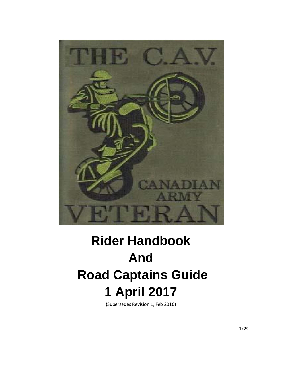

# **Rider Handbook And Road Captains Guide 1 April 2017**

(Supersedes Revision 1, Feb 2016)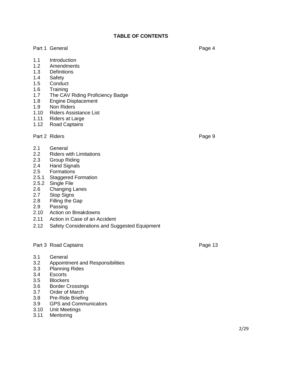## **TABLE OF CONTENTS**

#### Part 1 General **Page 4**

- 1.1 Introduction
- 1.2 Amendments
- 1.3 Definitions
- 1.4 Safety
- 1.5 Conduct
- 1.6 Training
- 1.7 The CAV Riding Proficiency Badge
- 1.8 Engine Displacement
- 1.9 Non Riders
- 1.10 Riders Assistance List
- 1.11 Riders at Large
- 1.12 Road Captains

#### Part 2 Riders **Page 9**

- 2.1 General
- 2.2 Riders with Limitations
- 2.3 Group Riding
- 2.4 Hand Signals
- 2.5 Formations
- 2.5.1 Staggered Formation
- 2.5.2 Single File
- 2.6 Changing Lanes
- 2.7 Stop Signs
- 2.8 Filling the Gap
- 2.9 Passing
- 2.10 Action on Breakdowns
- 2.11 Action in Case of an Accident
- 2.12 Safety Considerations and Suggested Equipment

## Part 3 Road Captains **Page 13**

- 3.1 General
- 3.2 Appointment and Responsibilities
- 3.3 Planning Rides<br>3.4 Escorts
- Escorts<sup>1</sup>
- 3.5 Blockers
- 3.6 Border Crossings
- 3.7 Order of March
- 3.8 Pre-Ride Briefing
- 3.9 GPS and Communicators
- 3.10 Unit Meetings
- 3.11 Mentoring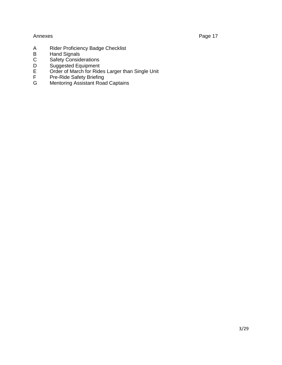# Annexes Page 17

- A Rider Proficiency Badge Checklist
- B Hand Signals
- C Safety Considerations<br>D Suggested Equipment
- D Suggested Equipment<br>E Order of March for Ride
- E Order of March for Rides Larger than Single Unit<br>F Pre-Ride Safety Briefing
- F Pre-Ride Safety Briefing
- G Mentoring Assistant Road Captains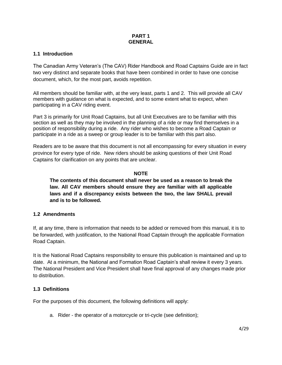# **PART 1 GENERAL**

## **1.1 Introduction**

The Canadian Army Veteran's (The CAV) Rider Handbook and Road Captains Guide are in fact two very distinct and separate books that have been combined in order to have one concise document, which, for the most part, avoids repetition.

All members should be familiar with, at the very least, parts 1 and 2. This will provide all CAV members with guidance on what is expected, and to some extent what to expect, when participating in a CAV riding event.

Part 3 is primarily for Unit Road Captains, but all Unit Executives are to be familiar with this section as well as they may be involved in the planning of a ride or may find themselves in a position of responsibility during a ride. Any rider who wishes to become a Road Captain or participate in a ride as a sweep or group leader is to be familiar with this part also.

Readers are to be aware that this document is not all encompassing for every situation in every province for every type of ride. New riders should be asking questions of their Unit Road Captains for clarification on any points that are unclear.

# **NOTE**

**The contents of this document shall never be used as a reason to break the law. All CAV members should ensure they are familiar with all applicable laws and if a discrepancy exists between the two, the law SHALL prevail and is to be followed.**

## **1.2 Amendments**

If, at any time, there is information that needs to be added or removed from this manual, it is to be forwarded, with justification, to the National Road Captain through the applicable Formation Road Captain.

It is the National Road Captains responsibility to ensure this publication is maintained and up to date. At a minimum, the National and Formation Road Captain's shall review it every 3 years. The National President and Vice President shall have final approval of any changes made prior to distribution.

# **1.3 Definitions**

For the purposes of this document, the following definitions will apply:

a. Rider - the operator of a motorcycle or tri-cycle (see definition);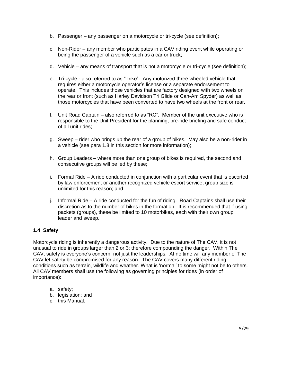- b. Passenger any passenger on a motorcycle or tri-cycle (see definition);
- c. Non-Rider any member who participates in a CAV riding event while operating or being the passenger of a vehicle such as a car or truck;
- d. Vehicle any means of transport that is not a motorcycle or tri-cycle (see definition);
- e. Tri-cycle also referred to as "Trike". Any motorized three wheeled vehicle that requires either a motorcycle operator's license or a separate endorsement to operate. This includes those vehicles that are factory designed with two wheels on the rear or front (such as Harley Davidson Tri Glide or Can-Am Spyder) as well as those motorcycles that have been converted to have two wheels at the front or rear.
- f. Unit Road Captain also referred to as "RC". Member of the unit executive who is responsible to the Unit President for the planning, pre-ride briefing and safe conduct of all unit rides;
- g. Sweep rider who brings up the rear of a group of bikes. May also be a non-rider in a vehicle (see para 1.8 in this section for more information);
- h. Group Leaders where more than one group of bikes is required, the second and consecutive groups will be led by these;
- i. Formal Ride A ride conducted in conjunction with a particular event that is escorted by law enforcement or another recognized vehicle escort service, group size is unlimited for this reason; and
- j. Informal Ride A ride conducted for the fun of riding. Road Captains shall use their discretion as to the number of bikes in the formation. It is recommended that if using packets (groups), these be limited to 10 motorbikes, each with their own group leader and sweep.

# **1.4 Safety**

Motorcycle riding is inherently a dangerous activity. Due to the nature of The CAV, it is not unusual to ride in groups larger than 2 or 3; therefore compounding the danger. Within The CAV, safety is everyone's concern, not just the leaderships. At no time will any member of The CAV let safety be compromised for any reason. The CAV covers many different riding conditions such as terrain, wildlife and weather. What is 'normal' to some might not be to others. All CAV members shall use the following as governing principles for rides (in order of importance):

- a. safety;
- b. legislation; and
- c. this Manual.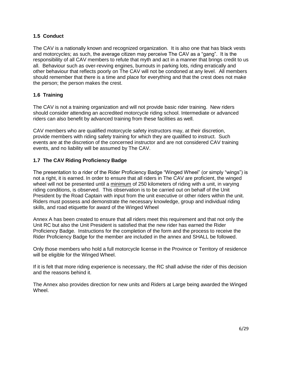# **1.5 Conduct**

The CAV is a nationally known and recognized organization. It is also one that has black vests and motorcycles; as such, the average citizen may perceive The CAV as a "gang". It is the responsibility of all CAV members to refute that myth and act in a manner that brings credit to us all. Behaviour such as over-revving engines, burnouts in parking lots, riding erratically and other behaviour that reflects poorly on The CAV will not be condoned at any level. All members should remember that there is a time and place for everything and that the crest does not make the person; the person makes the crest.

# **1.6 Training**

The CAV is not a training organization and will not provide basic rider training. New riders should consider attending an accredited motorcycle riding school. Intermediate or advanced riders can also benefit by advanced training from these facilities as well.

CAV members who are qualified motorcycle safety instructors may, at their discretion, provide members with riding safety training for which they are qualified to instruct. Such events are at the discretion of the concerned instructor and are not considered CAV training events, and no liability will be assumed by The CAV.

## **1.7 The CAV Riding Proficiency Badge**

The presentation to a rider of the Rider Proficiency Badge "Winged Wheel" (or simply "wings") is not a right, it is earned. In order to ensure that all riders in The CAV are proficient, the winged wheel will not be presented until a minimum of 250 kilometers of riding with a unit, in varying riding conditions, is observed. This observation is to be carried out on behalf of the Unit President by the Road Captain with input from the unit executive or other riders within the unit. Riders must possess and demonstrate the necessary knowledge, group and individual riding skills, and road etiquette for award of the Winged Wheel

Annex A has been created to ensure that all riders meet this requirement and that not only the Unit RC but also the Unit President is satisfied that the new rider has earned the Rider Proficiency Badge. Instructions for the completion of the form and the process to receive the Rider Proficiency Badge for the member are included in the annex and SHALL be followed.

Only those members who hold a full motorcycle license in the Province or Territory of residence will be eligible for the Winged Wheel.

If it is felt that more riding experience is necessary, the RC shall advise the rider of this decision and the reasons behind it.

The Annex also provides direction for new units and Riders at Large being awarded the Winged Wheel.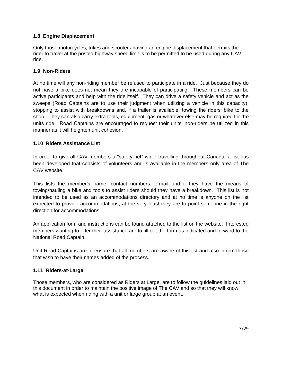# **1.8 Engine Displacement**

Only those motorcycles, trikes and scooters having an engine displacement that permits the rider to travel at the posted highway speed limit is to be permitted to be used during any CAV ride.

#### **1.9 Non-Riders**

At no time will any non-riding member be refused to participate in a ride. Just because they do not have a bike does not mean they are incapable of participating. These members can be active participants and help with the ride itself. They can drive a safety vehicle and act as the sweeps (Road Captains are to use their judgment when utilizing a vehicle in this capacity), stopping to assist with breakdowns and, if a trailer is available, towing the riders' bike to the shop. They can also carry extra tools, equipment, gas or whatever else may be required for the units ride. Road Captains are encouraged to request their units' non-riders be utilized in this manner as it will heighten unit cohesion.

## **1.10 Riders Assistance List**

In order to give all CAV members a "safety net" while travelling throughout Canada, a list has been developed that consists of volunteers and is available in the members only area of The CAV website.

This lists the member's name, contact numbers, e-mail and if they have the means of towing/hauling a bike and tools to assist riders should they have a breakdown. This list is not intended to be used as an accommodations directory and at no time is anyone on the list expected to provide accommodations; at the very least they are to point someone in the right direction for accommodations.

An application form and instructions can be found attached to the list on the website. Interested members wanting to offer their assistance are to fill out the form as indicated and forward to the National Road Captain.

Unit Road Captains are to ensure that all members are aware of this list and also inform those that wish to have their names added of the process.

## **1.11 Riders-at-Large**

Those members, who are considered as Riders at Large, are to follow the guidelines laid out in this document in order to maintain the positive image of The CAV and so that they will know what is expected when riding with a unit or large group at an event.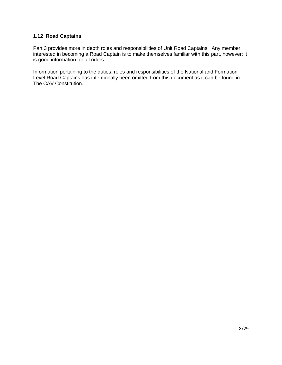## **1.12 Road Captains**

Part 3 provides more in depth roles and responsibilities of Unit Road Captains. Any member interested in becoming a Road Captain is to make themselves familiar with this part, however; it is good information for all riders.

Information pertaining to the duties, roles and responsibilities of the National and Formation Level Road Captains has intentionally been omitted from this document as it can be found in The CAV Constitution.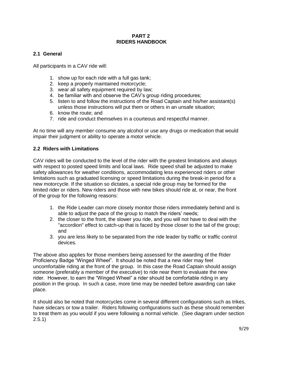## **PART 2 RIDERS HANDBOOK**

# **2.1 General**

All participants in a CAV ride will:

- 1. show up for each ride with a full gas tank;
- 2. keep a properly maintained motorcycle;
- 3. wear all safety equipment required by law;
- 4. be familiar with and observe the CAV's group riding procedures;
- 5. listen to and follow the instructions of the Road Captain and his/her assistant(s) unless those instructions will put them or others in an unsafe situation;
- 6. know the route; and
- 7. ride and conduct themselves in a courteous and respectful manner.

At no time will any member consume any alcohol or use any drugs or medication that would impair their judgment or ability to operate a motor vehicle.

# **2.2 Riders with Limitations**

CAV rides will be conducted to the level of the rider with the greatest limitations and always with respect to posted speed limits and local laws. Ride speed shall be adjusted to make safety allowances for weather conditions, accommodating less experienced riders or other limitations such as graduated licensing or speed limitations during the break-in period for a new motorcycle. If the situation so dictates, a special ride group may be formed for the limited rider or riders. New riders and those with new bikes should ride at, or near, the front of the group for the following reasons:

- 1. the Ride Leader can more closely monitor those riders immediately behind and is able to adjust the pace of the group to match the riders' needs;
- 2. the closer to the front, the slower you ride, and you will not have to deal with the "accordion" effect to catch-up that is faced by those closer to the tail of the group; and
- 3. you are less likely to be separated from the ride leader by traffic or traffic control devices.

The above also applies for those members being assessed for the awarding of the Rider Proficiency Badge "Winged Wheel". It should be noted that a new rider may feel uncomfortable riding at the front of the group. In this case the Road Captain should assign someone (preferably a member of the executive) to ride near them to evaluate the new rider. However, to earn the "Winged Wheel" a rider should be comfortable riding in any position in the group. In such a case, more time may be needed before awarding can take place.

It should also be noted that motorcycles come in several different configurations such as trikes, have sidecars or tow a trailer. Riders following configurations such as these should remember to treat them as you would if you were following a normal vehicle. (See diagram under section 2.5.1)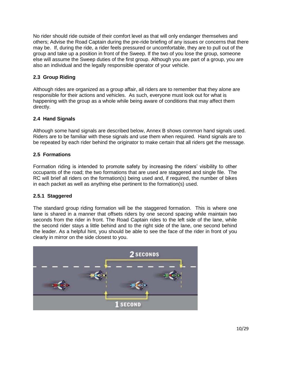No rider should ride outside of their comfort level as that will only endanger themselves and others; Advise the Road Captain during the pre-ride briefing of any issues or concerns that there may be. If, during the ride, a rider feels pressured or uncomfortable, they are to pull out of the group and take up a position in front of the Sweep. If the two of you lose the group, someone else will assume the Sweep duties of the first group. Although you are part of a group, you are also an individual and the legally responsible operator of your vehicle.

# **2.3 Group Riding**

Although rides are organized as a group affair, all riders are to remember that they alone are responsible for their actions and vehicles. As such, everyone must look out for what is happening with the group as a whole while being aware of conditions that may affect them directly.

# **2.4 Hand Signals**

Although some hand signals are described below, Annex B shows common hand signals used. Riders are to be familiar with these signals and use them when required. Hand signals are to be repeated by each rider behind the originator to make certain that all riders get the message.

# **2.5 Formations**

Formation riding is intended to promote safety by increasing the riders' visibility to other occupants of the road; the two formations that are used are staggered and single file. The RC will brief all riders on the formation(s) being used and, if required, the number of bikes in each packet as well as anything else pertinent to the formation(s) used.

## **2.5.1 Staggered**

The standard group riding formation will be the staggered formation. This is where one lane is shared in a manner that offsets riders by one second spacing while maintain two seconds from the rider in front. The Road Captain rides to the left side of the lane, while the second rider stays a little behind and to the right side of the lane, one second behind the leader. As a helpful hint, you should be able to see the face of the rider in front of you clearly in mirror on the side closest to you.

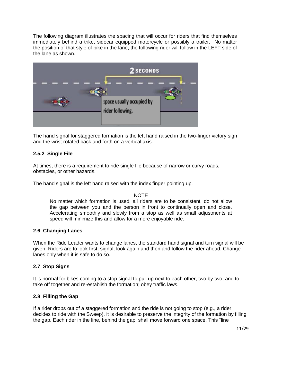The following diagram illustrates the spacing that will occur for riders that find themselves immediately behind a trike, sidecar equipped motorcycle or possibly a trailer. No matter the position of that style of bike in the lane, the following rider will follow in the LEFT side of the lane as shown.



The hand signal for staggered formation is the left hand raised in the two-finger victory sign and the wrist rotated back and forth on a vertical axis.

# **2.5.2 Single File**

At times, there is a requirement to ride single file because of narrow or curvy roads, obstacles, or other hazards.

The hand signal is the left hand raised with the index finger pointing up.

#### NOTE

No matter which formation is used, all riders are to be consistent, do not allow the gap between you and the person in front to continually open and close. Accelerating smoothly and slowly from a stop as well as small adjustments at speed will minimize this and allow for a more enjoyable ride.

## **2.6 Changing Lanes**

When the Ride Leader wants to change lanes, the standard hand signal and turn signal will be given. Riders are to look first, signal, look again and then and follow the rider ahead. Change lanes only when it is safe to do so.

## **2.7 Stop Signs**

It is normal for bikes coming to a stop signal to pull up next to each other, two by two, and to take off together and re-establish the formation; obey traffic laws.

## **2.8 Filling the Gap**

If a rider drops out of a staggered formation and the ride is not going to stop (e.g., a rider decides to ride with the Sweep), it is desirable to preserve the integrity of the formation by filling the gap. Each rider in the line, behind the gap, shall move forward one space. This "line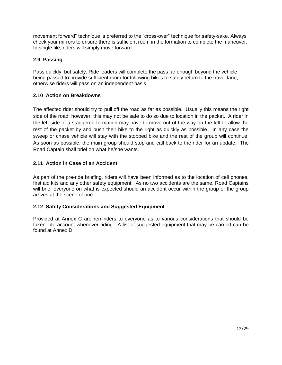movement forward" technique is preferred to the "cross-over" technique for safety-sake. Always check your mirrors to ensure there is sufficient room in the formation to complete the maneuver. In single file, riders will simply move forward.

# **2.9 Passing**

Pass quickly, but safely. Ride leaders will complete the pass far enough beyond the vehicle being passed to provide sufficient room for following bikes to safely return to the travel lane, otherwise riders will pass on an independent basis.

# **2.10 Action on Breakdowns**

The affected rider should try to pull off the road as far as possible. Usually this means the right side of the road; however, this may not be safe to do so due to location in the packet. A rider in the left side of a staggered formation may have to move out of the way on the left to allow the rest of the packet by and push their bike to the right as quickly as possible. In any case the sweep or chase vehicle will stay with the stopped bike and the rest of the group will continue. As soon as possible, the main group should stop and call back to the rider for an update. The Road Captain shall brief on what he/she wants.

# **2.11 Action in Case of an Accident**

As part of the pre-ride briefing, riders will have been informed as to the location of cell phones, first aid kits and any other safety equipment. As no two accidents are the same, Road Captains will brief everyone on what is expected should an accident occur within the group or the group arrives at the scene of one.

## **2.12 Safety Considerations and Suggested Equipment**

Provided at Annex C are reminders to everyone as to various considerations that should be taken into account whenever riding. A list of suggested equipment that may be carried can be found at Annex D.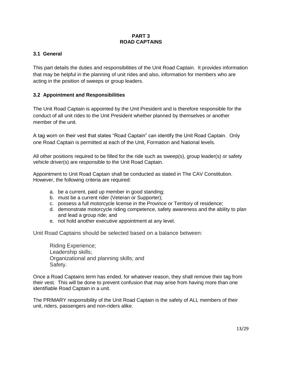## **PART 3 ROAD CAPTAINS**

# **3.1 General**

This part details the duties and responsibilities of the Unit Road Captain. It provides information that may be helpful in the planning of unit rides and also, information for members who are acting in the position of sweeps or group leaders.

# **3.2 Appointment and Responsibilities**

The Unit Road Captain is appointed by the Unit President and is therefore responsible for the conduct of all unit rides to the Unit President whether planned by themselves or another member of the unit.

A tag worn on their vest that states "Road Captain" can identify the Unit Road Captain. Only one Road Captain is permitted at each of the Unit, Formation and National levels.

All other positions required to be filled for the ride such as sweep(s), group leader(s) or safety vehicle driver(s) are responsible to the Unit Road Captain.

Appointment to Unit Road Captain shall be conducted as stated in The CAV Constitution. However, the following criteria are required:

- a. be a current, paid up member in good standing;
- b. must be a current rider (Veteran or Supporter);
- c. possess a full motorcycle license in the Province or Territory of residence;
- d. demonstrate motorcycle riding competence, safety awareness and the ability to plan and lead a group ride; and
- e. not hold another executive appointment at any level.

Unit Road Captains should be selected based on a balance between:

Riding Experience; Leadership skills; Organizational and planning skills; and Safety.

Once a Road Captains term has ended, for whatever reason, they shall remove their tag from their vest. This will be done to prevent confusion that may arise from having more than one identifiable Road Captain in a unit.

The PRIMARY responsibility of the Unit Road Captain is the safety of ALL members of their unit, riders, passengers and non-riders alike.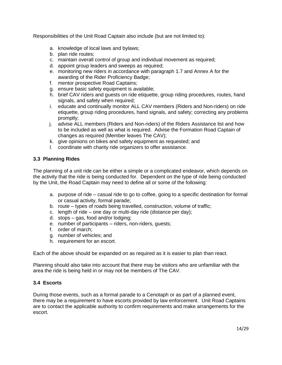Responsibilities of the Unit Road Captain also include (but are not limited to):

- a. knowledge of local laws and bylaws;
- b. plan ride routes;
- c. maintain overall control of group and individual movement as required;
- d. appoint group leaders and sweeps as required;
- e. monitoring new riders in accordance with paragraph 1.7 and Annex A for the awarding of the Rider Proficiency Badge;
- f. mentor prospective Road Captains;
- g. ensure basic safety equipment is available;
- h. brief CAV riders and guests on ride etiquette, group riding procedures, routes, hand signals, and safety when required;
- i. educate and continually monitor ALL CAV members (Riders and Non-riders) on ride etiquette, group riding procedures, hand signals, and safety; correcting any problems promptly;
- j. advise ALL members (Riders and Non-riders) of the Riders Assistance list and how to be included as well as what is required. Advise the Formation Road Captain of changes as required (Member leaves The CAV);
- k. give opinions on bikes and safety equipment as requested; and
- l. coordinate with charity ride organizers to offer assistance.

# **3.3 Planning Rides**

The planning of a unit ride can be either a simple or a complicated endeavor, which depends on the activity that the ride is being conducted for. Dependent on the type of ride being conducted by the Unit, the Road Captain may need to define all or some of the following:

- a. purpose of ride casual ride to go to coffee, going to a specific destination for formal or casual activity, formal parade;
- b. route types of roads being travelled, construction, volume of traffic;
- c. length of ride one day or multi-day ride (distance per day);
- d. stops gas, food and/or lodging;
- e. number of participants riders, non-riders, guests;
- f. order of march;
- g. number of vehicles; and
- h. requirement for an escort.

Each of the above should be expanded on as required as it is easier to plan than react.

Planning should also take into account that there may be visitors who are unfamiliar with the area the ride is being held in or may not be members of The CAV.

## **3.4 Escorts**

During those events, such as a formal parade to a Cenotaph or as part of a planned event, there may be a requirement to have escorts provided by law enforcement. Unit Road Captains are to contact the applicable authority to confirm requirements and make arrangements for the escort.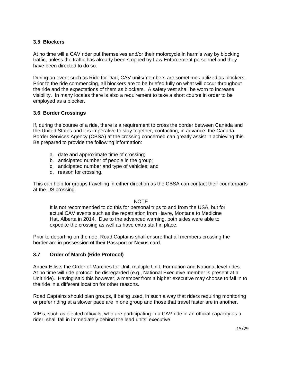## **3.5 Blockers**

At no time will a CAV rider put themselves and/or their motorcycle in harm's way by blocking traffic, unless the traffic has already been stopped by Law Enforcement personnel and they have been directed to do so.

During an event such as Ride for Dad, CAV units/members are sometimes utilized as blockers. Prior to the ride commencing, all blockers are to be briefed fully on what will occur throughout the ride and the expectations of them as blockers. A safety vest shall be worn to increase visibility. In many locales there is also a requirement to take a short course in order to be employed as a blocker.

# **3.6 Border Crossings**

If, during the course of a ride, there is a requirement to cross the border between Canada and the United States and it is imperative to stay together, contacting, in advance, the Canada Border Services Agency (CBSA) at the crossing concerned can greatly assist in achieving this. Be prepared to provide the following information:

- a. date and approximate time of crossing;
- b. anticipated number of people in the group;
- c. anticipated number and type of vehicles; and
- d. reason for crossing.

This can help for groups travelling in either direction as the CBSA can contact their counterparts at the US crossing.

#### NOTE

It is not recommended to do this for personal trips to and from the USA, but for actual CAV events such as the repatriation from Havre, Montana to Medicine Hat, Alberta in 2014. Due to the advanced warning, both sides were able to expedite the crossing as well as have extra staff in place.

Prior to departing on the ride, Road Captains shall ensure that all members crossing the border are in possession of their Passport or Nexus card.

## **3.7 Order of March (Ride Protocol)**

Annex E lists the Order of Marches for Unit, multiple Unit, Formation and National level rides. At no time will ride protocol be disregarded (e.g., National Executive member is present at a Unit ride). Having said this however, a member from a higher executive may choose to fall in to the ride in a different location for other reasons.

Road Captains should plan groups, if being used, in such a way that riders requiring monitoring or prefer riding at a slower pace are in one group and those that travel faster are in another.

VIP's, such as elected officials, who are participating in a CAV ride in an official capacity as a rider, shall fall in immediately behind the lead units' executive.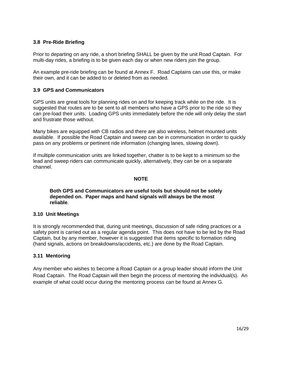## **3.8 Pre-Ride Briefing**

Prior to departing on any ride, a short briefing SHALL be given by the unit Road Captain. For multi-day rides, a briefing is to be given each day or when new riders join the group.

An example pre-ride briefing can be found at Annex F. Road Captains can use this, or make their own, and it can be added to or deleted from as needed.

## **3.9 GPS and Communicators**

GPS units are great tools for planning rides on and for keeping track while on the ride. It is suggested that routes are to be sent to all members who have a GPS prior to the ride so they can pre-load their units. Loading GPS units immediately before the ride will only delay the start and frustrate those without.

Many bikes are equipped with CB radios and there are also wireless, helmet mounted units available. If possible the Road Captain and sweep can be in communication in order to quickly pass on any problems or pertinent ride information (changing lanes, slowing down).

If multiple communication units are linked together, chatter is to be kept to a minimum so the lead and sweep riders can communicate quickly, alternatively, they can be on a separate channel.

#### **NOTE**

#### **Both GPS and Communicators are useful tools but should not be solely depended on. Paper maps and hand signals will always be the most reliable**.

#### **3.10 Unit Meetings**

It is strongly recommended that, during unit meetings, discussion of safe riding practices or a safety point is carried out as a regular agenda point. This does not have to be led by the Road Captain, but by any member, however it is suggested that items specific to formation riding (hand signals, actions on breakdowns/accidents, etc.) are done by the Road Captain.

#### **3.11 Mentoring**

Any member who wishes to become a Road Captain or a group leader should inform the Unit Road Captain. The Road Captain will then begin the process of mentoring the individual(s). An example of what could occur during the mentoring process can be found at Annex G.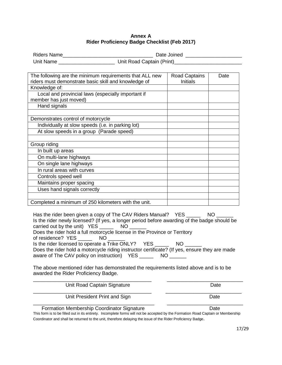#### **Annex A Rider Proficiency Badge Checklist (Feb 2017)**

| <b>Riders Name</b> | Date Joined               |
|--------------------|---------------------------|
| Unit Name          | Unit Road Captain (Print) |

| The following are the minimum requirements that ALL new<br>riders must demonstrate basic skill and knowledge of | <b>Road Captains</b><br><b>Initials</b> | Date |
|-----------------------------------------------------------------------------------------------------------------|-----------------------------------------|------|
| Knowledge of:                                                                                                   |                                         |      |
| Local and provincial laws (especially important if                                                              |                                         |      |
| member has just moved)                                                                                          |                                         |      |
| Hand signals                                                                                                    |                                         |      |
|                                                                                                                 |                                         |      |
| Demonstrates control of motorcycle                                                                              |                                         |      |
| Individually at slow speeds (i.e. in parking lot)                                                               |                                         |      |
| At slow speeds in a group (Parade speed)                                                                        |                                         |      |
|                                                                                                                 |                                         |      |
| Group riding                                                                                                    |                                         |      |
| In built up areas                                                                                               |                                         |      |
| On multi-lane highways                                                                                          |                                         |      |
| On single lane highways                                                                                         |                                         |      |
| In rural areas with curves                                                                                      |                                         |      |
| Controls speed well                                                                                             |                                         |      |
| Maintains proper spacing                                                                                        |                                         |      |
| Uses hand signals correctly                                                                                     |                                         |      |
|                                                                                                                 |                                         |      |
| Completed a minimum of 250 kilometers with the unit.                                                            |                                         |      |

Has the rider been given a copy of The CAV Riders Manual? YES \_\_\_\_\_\_\_\_ NO Is the rider newly licensed? (If yes, a longer period before awarding of the badge should be carried out by the unit)  $YES$  \_\_\_\_\_\_\_\_ NO Does the rider hold a full motorcycle license in the Province or Territory of residence? YES \_\_\_\_\_\_\_\_ NO Is the rider licensed to operate a Trike ONLY? YES NO Does the rider hold a motorcycle riding instructor certificate? (If yes, ensure they are made aware of The CAV policy on instruction) YES \_\_\_\_\_\_\_\_ NO \_\_\_\_\_\_

The above mentioned rider has demonstrated the requirements listed above and is to be awarded the Rider Proficiency Badge.

| Unit President Print and Sign | Date |
|-------------------------------|------|
| Unit Road Captain Signature   | Date |

#### Formation Membership Coordinator Signature **Date** Date

This form is to be filled out in its entirety. Incomplete forms will not be accepted by the Formation Road Captain or Membership Coordinator and shall be returned to the unit, therefore delaying the issue of the Rider Proficiency Badge.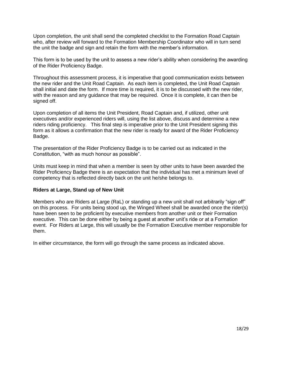Upon completion, the unit shall send the completed checklist to the Formation Road Captain who, after review will forward to the Formation Membership Coordinator who will in turn send the unit the badge and sign and retain the form with the member's information.

This form is to be used by the unit to assess a new rider's ability when considering the awarding of the Rider Proficiency Badge.

Throughout this assessment process, it is imperative that good communication exists between the new rider and the Unit Road Captain. As each item is completed, the Unit Road Captain shall initial and date the form. If more time is required, it is to be discussed with the new rider, with the reason and any guidance that may be required. Once it is complete, it can then be signed off.

Upon completion of all items the Unit President, Road Captain and, if utilized, other unit executives and/or experienced riders will, using the list above, discuss and determine a new riders riding proficiency. This final step is imperative prior to the Unit President signing this form as it allows a confirmation that the new rider is ready for award of the Rider Proficiency Badge.

The presentation of the Rider Proficiency Badge is to be carried out as indicated in the Constitution, "with as much honour as possible".

Units must keep in mind that when a member is seen by other units to have been awarded the Rider Proficiency Badge there is an expectation that the individual has met a minimum level of competency that is reflected directly back on the unit he/she belongs to.

## **Riders at Large, Stand up of New Unit**

Members who are Riders at Large (RaL) or standing up a new unit shall not arbitrarily "sign off" on this process. For units being stood up, the Winged Wheel shall be awarded once the rider(s) have been seen to be proficient by executive members from another unit or their Formation executive. This can be done either by being a guest at another unit's ride or at a Formation event. For Riders at Large, this will usually be the Formation Executive member responsible for them.

In either circumstance, the form will go through the same process as indicated above.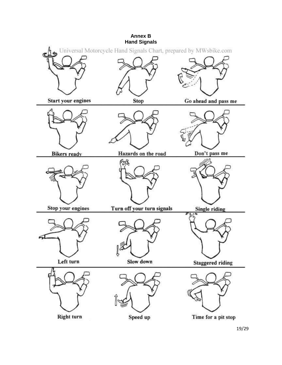

<sup>19/29</sup>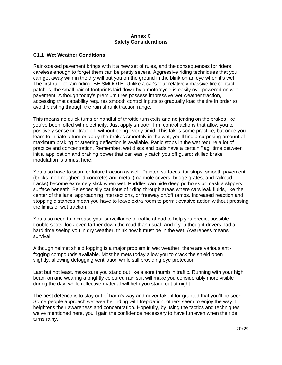#### **Annex C Safety Considerations**

## **C1.1 Wet Weather Conditions**

Rain-soaked pavement brings with it a new set of rules, and the consequences for riders careless enough to forget them can be pretty severe. Aggressive riding techniques that you can get away with in the dry will put you on the ground in the blink on an eye when it's wet. The first rule of rain riding: BE SMOOTH. Unlike a car's four relatively massive tire contact patches, the small pair of footprints laid down by a motorcycle is easily overpowered on wet pavement. Although today's premium tires possess impressive wet weather traction, accessing that capability requires smooth control inputs to gradually load the tire in order to avoid blasting through the rain shrunk traction range.

This means no quick turns or handful of throttle turn exits and no jerking on the brakes like you've been jolted with electricity. Just apply smooth, firm control actions that allow you to positively sense tire traction, without being overly timid. This takes some practice, but once you learn to initiate a turn or apply the brakes smoothly in the wet, you'll find a surprising amount of maximum braking or steering deflection is available. Panic stops in the wet require a lot of practice and concentration. Remember, wet discs and pads have a certain "lag" time between initial application and braking power that can easily catch you off guard; skilled brake modulation is a must here.

You also have to scan for future traction as well. Painted surfaces, tar strips, smooth pavement (bricks, non-roughened concrete) and metal (manhole covers, bridge grates, and railroad tracks) become extremely slick when wet. Puddles can hide deep potholes or mask a slippery surface beneath. Be especially cautious of riding through areas where cars leak fluids, like the center of the lane, approaching intersections, or freeway on/off ramps. Increased reaction and stopping distances mean you have to leave extra room to permit evasive action without pressing the limits of wet traction.

You also need to increase your surveillance of traffic ahead to help you predict possible trouble spots, look even farther down the road than usual. And if you thought drivers had a hard time seeing you in dry weather, think how it must be in the wet. Awareness means survival.

Although helmet shield fogging is a major problem in wet weather, there are various antifogging compounds available. Most helmets today allow you to crack the shield open slightly, allowing defogging ventilation while still providing eye protection.

Last but not least, make sure you stand out like a sore thumb in traffic. Running with your high beam on and wearing a brightly coloured rain suit will make you considerably more visible during the day, while reflective material will help you stand out at night.

The best defence is to stay out of harm's way and never take it for granted that you'll be seen. Some people approach wet weather riding with trepidation; others seem to enjoy the way it heightens their awareness and concentration. Hopefully, by using the tactics and techniques we've mentioned here, you'll gain the confidence necessary to have fun even when the ride turns rainy.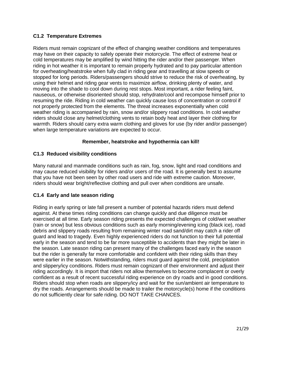# **C1.2 Temperature Extremes**

Riders must remain cognizant of the effect of changing weather conditions and temperatures may have on their capacity to safely operate their motorcycle. The effect of extreme heat or cold temperatures may be amplified by wind hitting the rider and/or their passenger. When riding in hot weather it is important to remain properly hydrated and to pay particular attention for overheating/heatstroke when fully clad in riding gear and travelling at slow speeds or stopped for long periods. Riders/passengers should strive to reduce the risk of overheating, by using their helmet and riding gear vents to maximize airflow, drinking plenty of water, and moving into the shade to cool down during rest stops. Most important, a rider feeling faint, nauseous, or otherwise disoriented should stop, rehydrate/cool and recompose himself prior to resuming the ride. Riding in cold weather can quickly cause loss of concentration or control if not properly protected from the elements. The threat increases exponentially when cold weather riding is accompanied by rain, snow and/or slippery road conditions. In cold weather riders should close any helmet/clothing vents to retain body heat and layer their clothing for warmth. Riders should carry extra warm clothing and gloves for use (by rider and/or passenger) when large temperature variations are expected to occur.

# **Remember, heatstroke and hypothermia can kill!**

# **C1.3 Reduced visibility conditions**

Many natural and manmade conditions such as rain, fog, snow, light and road conditions and may cause reduced visibility for riders and/or users of the road. It is generally best to assume that you have not been seen by other road users and ride with extreme caution. Moreover, riders should wear bright/reflective clothing and pull over when conditions are unsafe.

# **C1.4 Early and late season riding**

Riding in early spring or late fall present a number of potential hazards riders must defend against. At these times riding conditions can change quickly and due diligence must be exercised at all time. Early season riding presents the expected challenges of cold/wet weather (rain or snow) but less obvious conditions such as early morning/evening icing (black ice), road debris and slippery roads resulting from remaining winter road sand/dirt may catch a rider off guard and lead to tragedy. Even highly experienced riders do not function to their full potential early in the season and tend to be far more susceptible to accidents than they might be later in the season. Late season riding can present many of the challenges faced early in the season but the rider is generally far more comfortable and confident with their riding skills than they were earlier in the season. Notwithstanding, riders must guard against the cold, precipitation and slippery/icy conditions. Riders must remain cognizant of their environment and adjust their riding accordingly. It is import that riders not allow themselves to become complacent or overly confident as a result of recent successful riding experience on dry roads and in good conditions. Riders should stop when roads are slippery/icy and wait for the sun/ambient air temperature to dry the roads. Arrangements should be made to trailer the motorcycle(s) home if the conditions do not sufficiently clear for safe riding. DO NOT TAKE CHANCES.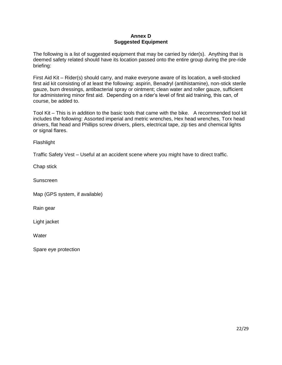## **Annex D Suggested Equipment**

The following is a list of suggested equipment that may be carried by rider(s). Anything that is deemed safety related should have its location passed onto the entire group during the pre-ride briefing:

First Aid Kit – Rider(s) should carry, and make everyone aware of its location, a well-stocked first aid kit consisting of at least the following: aspirin, Benadryl (antihistamine), non-stick sterile gauze, burn dressings, antibacterial spray or ointment; clean water and roller gauze, sufficient for administering minor first aid. Depending on a rider's level of first aid training, this can, of course, be added to.

Tool Kit – This is in addition to the basic tools that came with the bike. A recommended tool kit includes the following: Assorted imperial and metric wrenches, Hex head wrenches, Torx head drivers, flat head and Phillips screw drivers, pliers, electrical tape, zip ties and chemical lights or signal flares.

**Flashlight** 

Traffic Safety Vest – Useful at an accident scene where you might have to direct traffic.

Chap stick

Sunscreen

Map (GPS system, if available)

Rain gear

Light jacket

**Water** 

Spare eye protection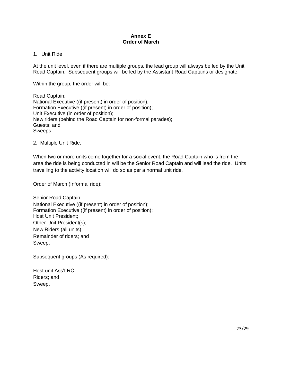#### **Annex E Order of March**

#### 1. Unit Ride

At the unit level, even if there are multiple groups, the lead group will always be led by the Unit Road Captain. Subsequent groups will be led by the Assistant Road Captains or designate.

Within the group, the order will be:

Road Captain; National Executive ((if present) in order of position); Formation Executive ((if present) in order of position); Unit Executive (in order of position); New riders (behind the Road Captain for non-formal parades); Guests; and Sweeps.

2. Multiple Unit Ride.

When two or more units come together for a social event, the Road Captain who is from the area the ride is being conducted in will be the Senior Road Captain and will lead the ride. Units travelling to the activity location will do so as per a normal unit ride.

Order of March (Informal ride):

Senior Road Captain; National Executive ((if present) in order of position); Formation Executive ((if present) in order of position); Host Unit President; Other Unit President(s); New Riders (all units); Remainder of riders; and Sweep.

Subsequent groups (As required):

Host unit Ass't RC; Riders; and Sweep.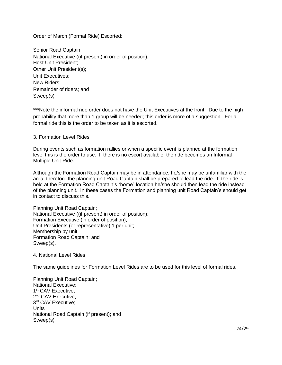Order of March (Formal Ride) Escorted:

Senior Road Captain; National Executive ((if present) in order of position); Host Unit President; Other Unit President(s); Unit Executives; New Riders; Remainder of riders; and Sweep(s)

\*\*\*Note the informal ride order does not have the Unit Executives at the front. Due to the high probability that more than 1 group will be needed; this order is more of a suggestion. For a formal ride this is the order to be taken as it is escorted.

#### 3. Formation Level Rides

During events such as formation rallies or when a specific event is planned at the formation level this is the order to use. If there is no escort available, the ride becomes an Informal Multiple Unit Ride.

Although the Formation Road Captain may be in attendance, he/she may be unfamiliar with the area, therefore the planning unit Road Captain shall be prepared to lead the ride. If the ride is held at the Formation Road Captain's "home" location he/she should then lead the ride instead of the planning unit. In these cases the Formation and planning unit Road Captain's should get in contact to discuss this.

Planning Unit Road Captain; National Executive ((if present) in order of position); Formation Executive (in order of position); Unit Presidents (or representative) 1 per unit; Membership by unit; Formation Road Captain; and Sweep(s).

#### 4. National Level Rides

The same guidelines for Formation Level Rides are to be used for this level of formal rides.

Planning Unit Road Captain; National Executive; 1<sup>st</sup> CAV Executive; 2<sup>nd</sup> CAV Executive; 3 rd CAV Executive; Units National Road Captain (if present); and Sweep(s)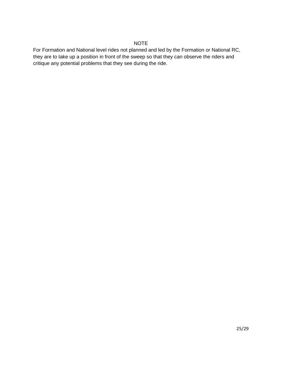# NOTE

For Formation and National level rides not planned and led by the Formation or National RC, they are to take up a position in front of the sweep so that they can observe the riders and critique any potential problems that they see during the ride.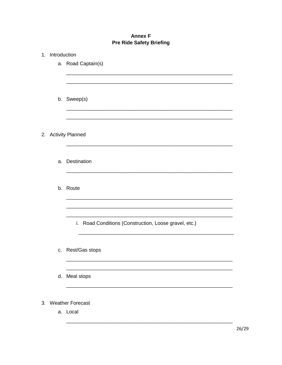# **Annex F Pre Ride Safety Briefing**

| 1. Introduction     |                                                       |  |  |  |
|---------------------|-------------------------------------------------------|--|--|--|
|                     | a. Road Captain(s)                                    |  |  |  |
|                     |                                                       |  |  |  |
|                     |                                                       |  |  |  |
|                     |                                                       |  |  |  |
|                     | b. Sweep(s)                                           |  |  |  |
|                     |                                                       |  |  |  |
|                     |                                                       |  |  |  |
| 2. Activity Planned |                                                       |  |  |  |
|                     |                                                       |  |  |  |
|                     |                                                       |  |  |  |
|                     | a. Destination                                        |  |  |  |
|                     |                                                       |  |  |  |
|                     |                                                       |  |  |  |
|                     | b. Route                                              |  |  |  |
|                     |                                                       |  |  |  |
|                     |                                                       |  |  |  |
|                     |                                                       |  |  |  |
|                     | i. Road Conditions (Construction, Loose gravel, etc.) |  |  |  |
|                     |                                                       |  |  |  |
|                     |                                                       |  |  |  |
|                     | c. Rest/Gas stops                                     |  |  |  |
|                     |                                                       |  |  |  |
|                     | d. Meal stops                                         |  |  |  |
|                     |                                                       |  |  |  |
|                     |                                                       |  |  |  |
| 3. Weather Forecast |                                                       |  |  |  |
|                     | a. Local                                              |  |  |  |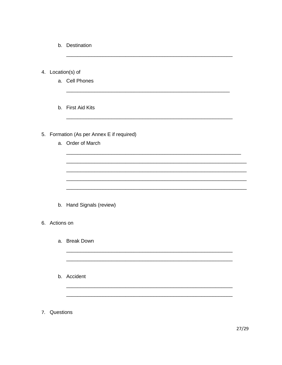- b. Destination
- 4. Location(s) of
	- a. Cell Phones
	- b. First Aid Kits

# 5. Formation (As per Annex E if required)

a. Order of March

b. Hand Signals (review)

#### 6. Actions on

- a. Break Down
- b. Accident
- 7. Questions